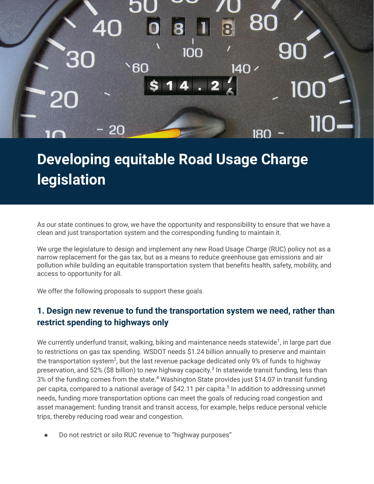

## **Developing equitable Road Usage Charge legislation**

As our state continues to grow, we have the opportunity and responsibility to ensure that we have a clean and just transportation system and the corresponding funding to maintain it.

We urge the legislature to design and implement any new Road Usage Charge (RUC) policy not as a narrow replacement for the gas tax, but as a means to reduce greenhouse gas emissions and air pollution while building an equitable transportation system that benefits health, safety, mobility, and access to opportunity for all.

We offer the following proposals to support these goals.

## **1. Design new revenue to fund the transportation system we need, rather than restrict spending to highways only**

We currently underfund transit, walking, biking and maintenance needs statewide<sup>1</sup>, in large part due to restrictions on gas tax spending. WSDOT needs \$1.24 billion annually to preserve and maintain the transportation system<sup>2</sup>, but the last revenue package dedicated only 9% of funds to highway preservation, and 52% (\$8 billion) to new highway capacity.<sup>3</sup> In statewide transit funding, less than 3% of the funding comes from the state.<sup>4</sup> Washington State provides just \$14.07 in transit funding per capita, compared to a national average of \$42.11 per capita.<sup>5</sup> In addition to addressing unmet needs, funding more transportation options can meet the goals of reducing road congestion and asset management: funding transit and transit access, for example, helps reduce personal vehicle trips, thereby reducing road wear and congestion.

Do not restrict or silo RUC revenue to "highway purposes"